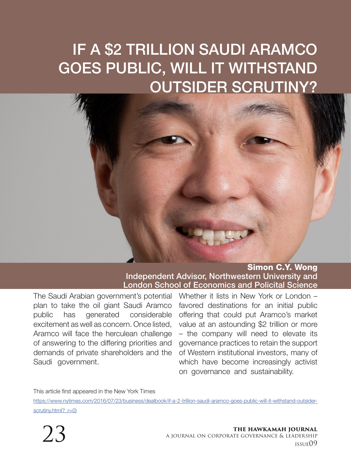## IF A \$2 TRILLION SAUDI ARAMCO GOES PUBLIC, WILL IT WITHSTAND OUTSIDER SCRUTINY?



Simon C.Y. Wong Independent Advisor, Northwestern University and London School of Economics and Policital Science

The Saudi Arabian government's potential plan to take the oil giant Saudi Aramco public has generated considerable excitement as well as concern. Once listed, Aramco will face the herculean challenge of answering to the differing priorities and demands of private shareholders and the Saudi government.

Whether it lists in New York or London – favored destinations for an initial public offering that could put Aramco's market value at an astounding \$2 trillion or more – the company will need to elevate its governance practices to retain the support of Western institutional investors, many of which have become increasingly activist on governance and sustainability.

This article first appeared in the New York Times

https://www.nytimes.com/2016/07/23/business/dealbook/if-a-2-trillion-saudi-aramco-goes-public-will-it-withstand-outsiderscrutiny.html? r=0)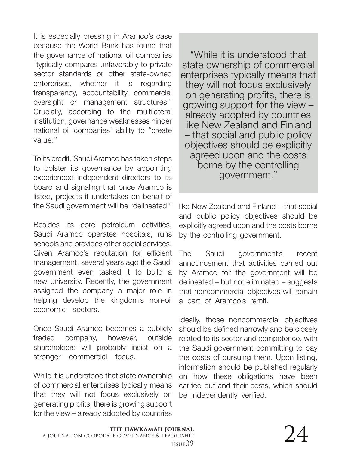It is especially pressing in Aramco's case because the World Bank has found that the governance of national oil companies "typically compares unfavorably to private sector standards or other state-owned enterprises, whether it is regarding transparency, accountability, commercial oversight or management structures." Crucially, according to the multilateral institution, governance weaknesses hinder national oil companies' ability to "create value."

To its credit, Saudi Aramco has taken steps to bolster its governance by appointing experienced independent directors to its board and signaling that once Aramco is listed, projects it undertakes on behalf of the Saudi government will be "delineated."

Besides its core petroleum activities, Saudi Aramco operates hospitals, runs schools and provides other social services. Given Aramco's reputation for efficient management, several years ago the Saudi government even tasked it to build a new university. Recently, the government assigned the company a major role in helping develop the kingdom's non-oil economic sectors.

Once Saudi Aramco becomes a publicly traded company, however, outside shareholders will probably insist on a stronger commercial focus.

While it is understood that state ownership of commercial enterprises typically means that they will not focus exclusively on generating profits, there is growing support for the view – already adopted by countries

"While it is understood that state ownership of commercial enterprises typically means that they will not focus exclusively on generating profits, there is growing support for the view – already adopted by countries like New Zealand and Finland – that social and public policy objectives should be explicitly agreed upon and the costs borne by the controlling government."

like New Zealand and Finland – that social and public policy objectives should be explicitly agreed upon and the costs borne by the controlling government.

The Saudi government's recent announcement that activities carried out by Aramco for the government will be delineated – but not eliminated – suggests that noncommercial objectives will remain a part of Aramco's remit.

Ideally, those noncommercial objectives should be defined narrowly and be closely related to its sector and competence, with the Saudi government committing to pay the costs of pursuing them. Upon listing, information should be published regularly on how these obligations have been carried out and their costs, which should be independently verified.

## $\frac{1}{\text{Deschip}}$  24

## **the hawkamah journal**

a journal on corporate governance & leadership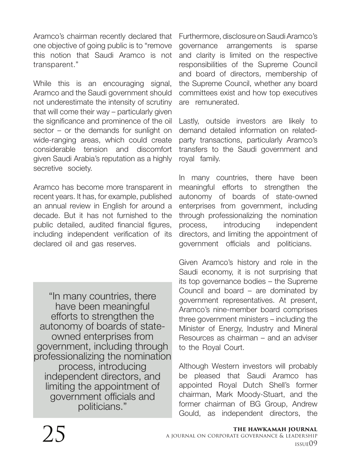Aramco's chairman recently declared that one objective of going public is to "remove this notion that Saudi Aramco is not transparent."

While this is an encouraging signal, Aramco and the Saudi government should not underestimate the intensity of scrutiny that will come their way – particularly given the significance and prominence of the oil sector – or the demands for sunlight on wide-ranging areas, which could create considerable tension and discomfort given Saudi Arabia's reputation as a highly secretive society.

Aramco has become more transparent in recent years. It has, for example, published an annual review in English for around a decade. But it has not furnished to the public detailed, audited financial figures, including independent verification of its declared oil and gas reserves.

"In many countries, there have been meaningful efforts to strengthen the autonomy of boards of stateowned enterprises from government, including through professionalizing the nomination process, introducing independent directors, and limiting the appointment of government officials and politicians."

Furthermore, disclosure on Saudi Aramco's governance arrangements is sparse and clarity is limited on the respective responsibilities of the Supreme Council and board of directors, membership of the Supreme Council, whether any board committees exist and how top executives are remunerated.

Lastly, outside investors are likely to demand detailed information on relatedparty transactions, particularly Aramco's transfers to the Saudi government and royal family.

In many countries, there have been meaningful efforts to strengthen the autonomy of boards of state-owned enterprises from government, including through professionalizing the nomination process, introducing independent directors, and limiting the appointment of government officials and politicians.

Given Aramco's history and role in the Saudi economy, it is not surprising that its top governance bodies – the Supreme Council and board – are dominated by government representatives. At present, Aramco's nine-member board comprises three government ministers – including the Minister of Energy, Industry and Mineral Resources as chairman – and an adviser to the Royal Court.

Although Western investors will probably be pleased that Saudi Aramco has appointed Royal Dutch Shell's former chairman, Mark Moody-Stuart, and the former chairman of BG Group, Andrew Gould, as independent directors, the